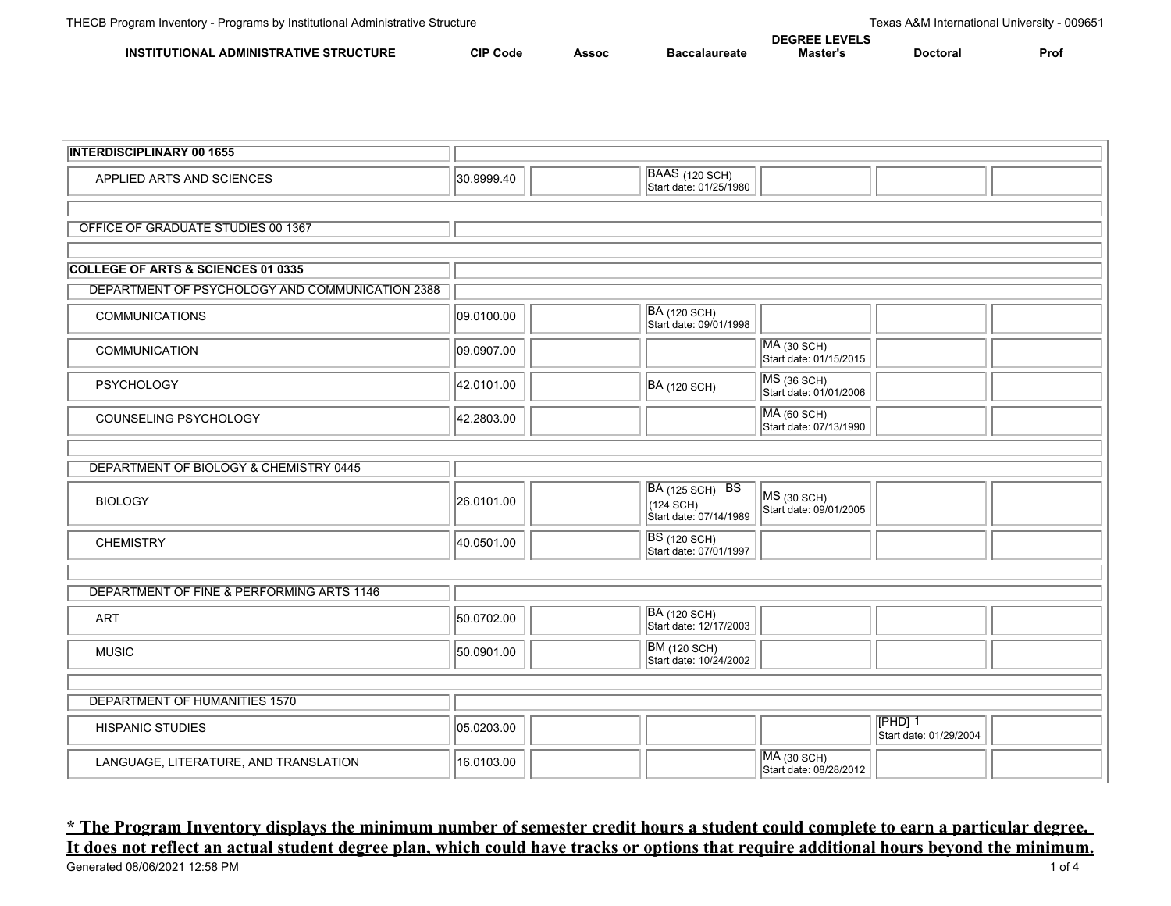|                                                               | ו ו                |     |      |      |      |      |
|---------------------------------------------------------------|--------------------|-----|------|------|------|------|
| <b>ADMINIS</b><br>TIVF<br>ΊIR<br>reur<br>IN:<br>חרזו<br>1 R A | <b>CIP</b><br>Code | っつい | эате | . ГР | ™or⊾ | Pro. |

| <b>INTERDISCIPLINARY 00 1655</b>                |            |                                                        |                                         |                                     |  |
|-------------------------------------------------|------------|--------------------------------------------------------|-----------------------------------------|-------------------------------------|--|
| APPLIED ARTS AND SCIENCES                       | 30.9999.40 | BAAS (120 SCH)<br>Start date: 01/25/1980               |                                         |                                     |  |
|                                                 |            |                                                        |                                         |                                     |  |
| OFFICE OF GRADUATE STUDIES 00 1367              |            |                                                        |                                         |                                     |  |
|                                                 |            |                                                        |                                         |                                     |  |
| <b>COLLEGE OF ARTS &amp; SCIENCES 01 0335</b>   |            |                                                        |                                         |                                     |  |
| DEPARTMENT OF PSYCHOLOGY AND COMMUNICATION 2388 |            |                                                        |                                         |                                     |  |
| <b>COMMUNICATIONS</b>                           | 09.0100.00 | <b>BA</b> (120 SCH)<br>Start date: 09/01/1998          |                                         |                                     |  |
| COMMUNICATION                                   | 09.0907.00 |                                                        | $MA$ (30 SCH)<br>Start date: 01/15/2015 |                                     |  |
| <b>PSYCHOLOGY</b>                               | 42.0101.00 | <b>BA</b> (120 SCH)                                    | MS (36 SCH)<br>Start date: 01/01/2006   |                                     |  |
| COUNSELING PSYCHOLOGY                           | 42.2803.00 |                                                        | MA (60 SCH)<br>Start date: 07/13/1990   |                                     |  |
|                                                 |            |                                                        |                                         |                                     |  |
| DEPARTMENT OF BIOLOGY & CHEMISTRY 0445          |            |                                                        |                                         |                                     |  |
| <b>BIOLOGY</b>                                  | 26.0101.00 | BA (125 SCH) BS<br>(124 SCH)<br>Start date: 07/14/1989 | $MS$ (30 SCH)<br>Start date: 09/01/2005 |                                     |  |
| <b>CHEMISTRY</b>                                | 40.0501.00 | <b>BS</b> (120 SCH)<br>Start date: 07/01/1997          |                                         |                                     |  |
|                                                 |            |                                                        |                                         |                                     |  |
| DEPARTMENT OF FINE & PERFORMING ARTS 1146       |            |                                                        |                                         |                                     |  |
| <b>ART</b>                                      | 50.0702.00 | BA (120 SCH)<br>Start date: 12/17/2003                 |                                         |                                     |  |
| <b>MUSIC</b>                                    | 50.0901.00 | <b>BM</b> (120 SCH)<br>Start date: 10/24/2002          |                                         |                                     |  |
|                                                 |            |                                                        |                                         |                                     |  |
| DEPARTMENT OF HUMANITIES 1570                   |            |                                                        |                                         |                                     |  |
| <b>HISPANIC STUDIES</b>                         | 05.0203.00 |                                                        |                                         | $[PHD]$ 1<br>Start date: 01/29/2004 |  |
| LANGUAGE, LITERATURE, AND TRANSLATION           | 16.0103.00 |                                                        | MA (30 SCH)<br>Start date: 08/28/2012   |                                     |  |

## **\* The Program Inventory displays the minimum number of semester credit hours a student could complete to earn a particular degree. It does not reflect an actual student degree plan, which could have tracks or options that require additional hours beyond the minimum.**<br>Generated 08/06/2021 12:58 PM Generated 08/06/2021 12:58 PM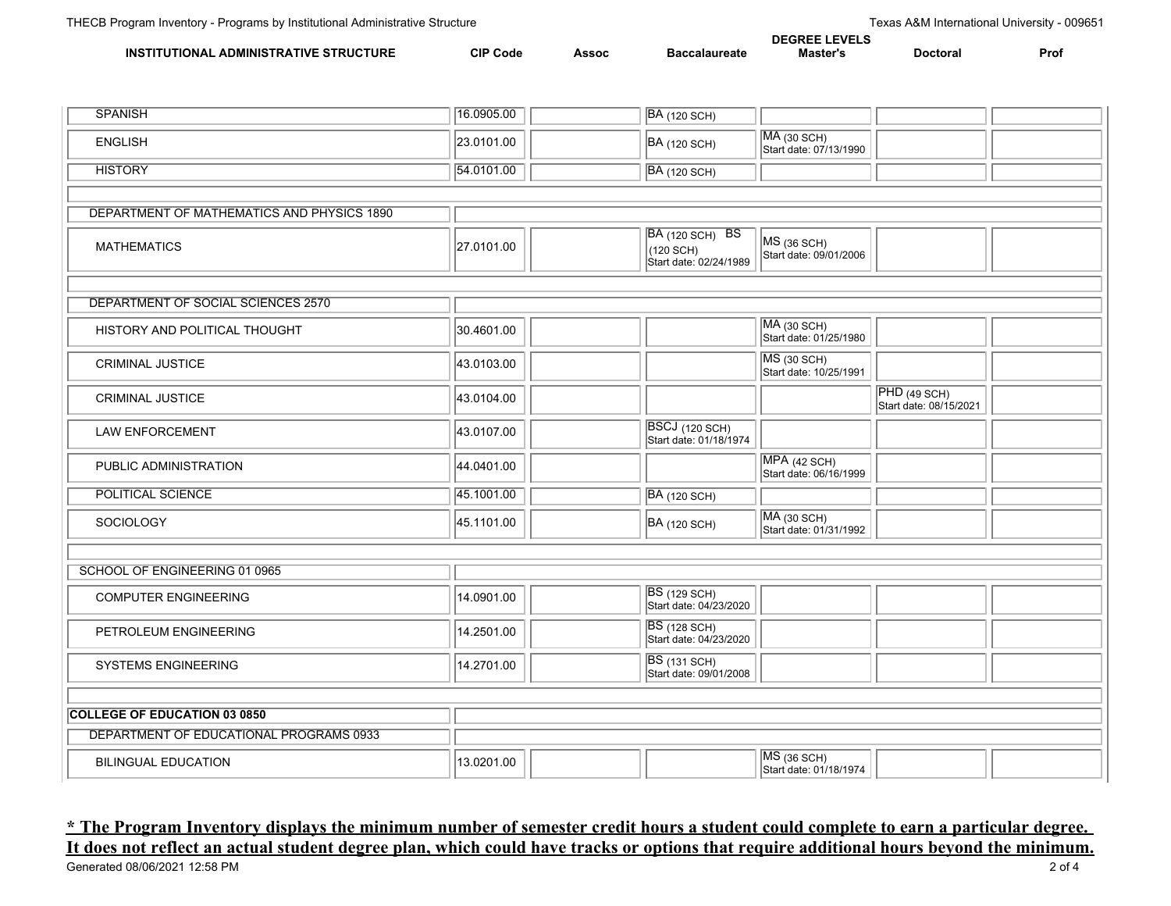| . ADMINIS <sup>-</sup><br>INS<br>TIVI<br>TIONA<br>.IRA | $\sim$ $\sim$<br>Code<br>vı. | $-0.000$<br>าจอบเ |  |  |  | Pro. |
|--------------------------------------------------------|------------------------------|-------------------|--|--|--|------|

| <b>SPANISH</b>                             | 16.0905.00 |  | <b>BA</b> (120 SCH)                                           |                                         |                                        |  |  |  |  |
|--------------------------------------------|------------|--|---------------------------------------------------------------|-----------------------------------------|----------------------------------------|--|--|--|--|
| <b>ENGLISH</b>                             | 23.0101.00 |  | <b>BA</b> (120 SCH)                                           | $MA$ (30 SCH)<br>Start date: 07/13/1990 |                                        |  |  |  |  |
| <b>HISTORY</b>                             | 54.0101.00 |  | <b>BA</b> (120 SCH)                                           |                                         |                                        |  |  |  |  |
|                                            |            |  |                                                               |                                         |                                        |  |  |  |  |
| DEPARTMENT OF MATHEMATICS AND PHYSICS 1890 |            |  |                                                               |                                         |                                        |  |  |  |  |
| <b>MATHEMATICS</b>                         | 27.0101.00 |  | <b>BA</b> (120 SCH) BS<br>(120 SCH)<br>Start date: 02/24/1989 | MS (36 SCH)<br>Start date: 09/01/2006   |                                        |  |  |  |  |
|                                            |            |  |                                                               |                                         |                                        |  |  |  |  |
| DEPARTMENT OF SOCIAL SCIENCES 2570         |            |  |                                                               |                                         |                                        |  |  |  |  |
| HISTORY AND POLITICAL THOUGHT              | 30.4601.00 |  |                                                               | MA (30 SCH)<br>Start date: 01/25/1980   |                                        |  |  |  |  |
| <b>CRIMINAL JUSTICE</b>                    | 43.0103.00 |  |                                                               | MS (30 SCH)<br>Start date: 10/25/1991   |                                        |  |  |  |  |
| <b>CRIMINAL JUSTICE</b>                    | 43.0104.00 |  |                                                               |                                         | PHD (49 SCH)<br>Start date: 08/15/2021 |  |  |  |  |
| <b>LAW ENFORCEMENT</b>                     | 43.0107.00 |  | <b>BSCJ</b> (120 SCH)<br>Start date: 01/18/1974               |                                         |                                        |  |  |  |  |
| PUBLIC ADMINISTRATION                      | 44.0401.00 |  |                                                               | MPA (42 SCH)<br>Start date: 06/16/1999  |                                        |  |  |  |  |
| <b>POLITICAL SCIENCE</b>                   | 45.1001.00 |  | <b>BA</b> (120 SCH)                                           |                                         |                                        |  |  |  |  |
| SOCIOLOGY                                  | 45.1101.00 |  | <b>BA</b> (120 SCH)                                           | MA (30 SCH)<br>Start date: 01/31/1992   |                                        |  |  |  |  |
|                                            |            |  |                                                               |                                         |                                        |  |  |  |  |
| SCHOOL OF ENGINEERING 01 0965              |            |  |                                                               |                                         |                                        |  |  |  |  |
| <b>COMPUTER ENGINEERING</b>                | 14.0901.00 |  | <b>BS</b> (129 SCH)<br>Start date: 04/23/2020                 |                                         |                                        |  |  |  |  |
| PETROLEUM ENGINEERING                      | 14.2501.00 |  | <b>BS</b> (128 SCH)<br>Start date: 04/23/2020                 |                                         |                                        |  |  |  |  |
| SYSTEMS ENGINEERING                        | 14.2701.00 |  | <b>BS</b> (131 SCH)<br>Start date: 09/01/2008                 |                                         |                                        |  |  |  |  |
|                                            |            |  |                                                               |                                         |                                        |  |  |  |  |
| <b>COLLEGE OF EDUCATION 03 0850</b>        |            |  |                                                               |                                         |                                        |  |  |  |  |
| DEPARTMENT OF EDUCATIONAL PROGRAMS 0933    |            |  |                                                               |                                         |                                        |  |  |  |  |
| <b>BILINGUAL EDUCATION</b>                 | 13.0201.00 |  |                                                               | $MS$ (36 SCH)<br>Start date: 01/18/1974 |                                        |  |  |  |  |

## **\* The Program Inventory displays the minimum number of semester credit hours a student could complete to earn a particular degree. It does not reflect an actual student degree plan, which could have tracks or options that require additional hours beyond the minimum.**<br>Generated 08/06/2021 12:58 PM Generated 08/06/2021 12:58 PM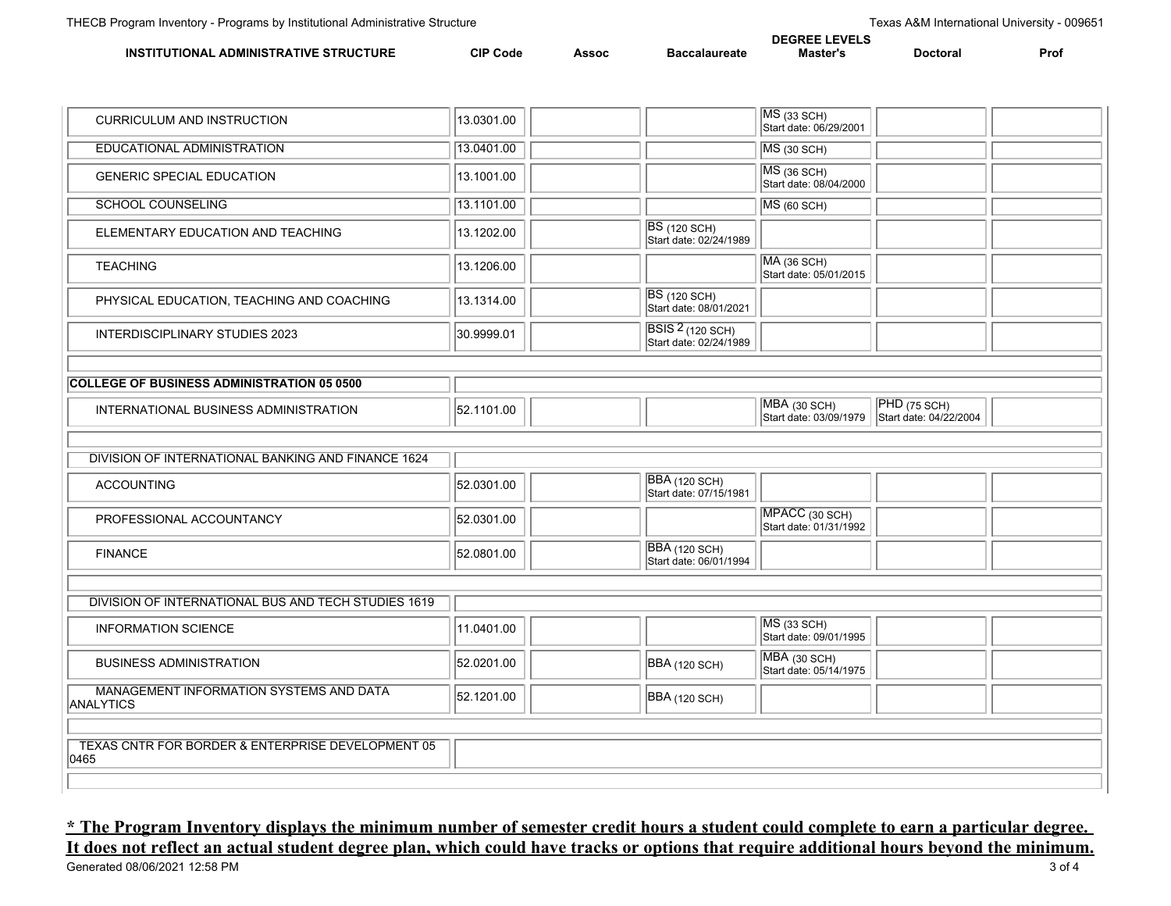|                                                         | ` EVE<br>DEGR |       |     |               |          |      |
|---------------------------------------------------------|---------------|-------|-----|---------------|----------|------|
| <b>UCTURE</b><br><b>\DMINISTRATIVE</b><br>ΊΩΝΔΙ<br>INS. | CIP.<br>Code  | Assoc | - - | <b>Master</b> | Doctoral | Pro. |

| <b>CURRICULUM AND INSTRUCTION</b>                         | 13.0301.00 |                                                   | $MS$ (33 SCH)                            |                                        |  |
|-----------------------------------------------------------|------------|---------------------------------------------------|------------------------------------------|----------------------------------------|--|
|                                                           |            |                                                   | Start date: 06/29/2001                   |                                        |  |
| EDUCATIONAL ADMINISTRATION                                | 13.0401.00 |                                                   | $MS$ (30 SCH)                            |                                        |  |
| <b>GENERIC SPECIAL EDUCATION</b>                          | 13.1001.00 |                                                   | $MS$ (36 SCH)<br>Start date: 08/04/2000  |                                        |  |
| <b>SCHOOL COUNSELING</b>                                  | 13.1101.00 |                                                   | $MS$ (60 SCH)                            |                                        |  |
| ELEMENTARY EDUCATION AND TEACHING                         | 13.1202.00 | <b>BS</b> (120 SCH)<br>Start date: 02/24/1989     |                                          |                                        |  |
| <b>TEACHING</b>                                           | 13.1206.00 |                                                   | $MA$ (36 SCH)<br>Start date: 05/01/2015  |                                        |  |
| PHYSICAL EDUCATION, TEACHING AND COACHING                 | 13.1314.00 | <b>BS</b> (120 SCH)<br>Start date: 08/01/2021     |                                          |                                        |  |
| INTERDISCIPLINARY STUDIES 2023                            | 30.9999.01 | <b>BSIS 2 (120 SCH)</b><br>Start date: 02/24/1989 |                                          |                                        |  |
|                                                           |            |                                                   |                                          |                                        |  |
| <b>COLLEGE OF BUSINESS ADMINISTRATION 05 0500</b>         |            |                                                   |                                          |                                        |  |
| INTERNATIONAL BUSINESS ADMINISTRATION                     | 52.1101.00 |                                                   | MBA (30 SCH)<br>Start date: 03/09/1979   | PHD (75 SCH)<br>Start date: 04/22/2004 |  |
|                                                           |            |                                                   |                                          |                                        |  |
| DIVISION OF INTERNATIONAL BANKING AND FINANCE 1624        |            |                                                   |                                          |                                        |  |
| <b>ACCOUNTING</b>                                         | 52.0301.00 | <b>BBA</b> (120 SCH)<br>Start date: 07/15/1981    |                                          |                                        |  |
| PROFESSIONAL ACCOUNTANCY                                  | 52.0301.00 |                                                   | MPACC (30 SCH)<br>Start date: 01/31/1992 |                                        |  |
| <b>FINANCE</b>                                            | 52.0801.00 | <b>BBA</b> (120 SCH)<br>Start date: 06/01/1994    |                                          |                                        |  |
|                                                           |            |                                                   |                                          |                                        |  |
| DIVISION OF INTERNATIONAL BUS AND TECH STUDIES 1619       |            |                                                   |                                          |                                        |  |
|                                                           |            |                                                   |                                          |                                        |  |
| <b>INFORMATION SCIENCE</b>                                | 11.0401.00 |                                                   | $MS$ (33 SCH)<br>Start date: 09/01/1995  |                                        |  |
| <b>BUSINESS ADMINISTRATION</b>                            | 52.0201.00 | <b>BBA</b> (120 SCH)                              | $MBA$ (30 SCH)<br>Start date: 05/14/1975 |                                        |  |
| MANAGEMENT INFORMATION SYSTEMS AND DATA<br>ANALYTICS      | 52.1201.00 | BBA (120 SCH)                                     |                                          |                                        |  |
|                                                           |            |                                                   |                                          |                                        |  |
| TEXAS CNTR FOR BORDER & ENTERPRISE DEVELOPMENT 05<br>0465 |            |                                                   |                                          |                                        |  |

## **\* The Program Inventory displays the minimum number of semester credit hours a student could complete to earn a particular degree. It does not reflect an actual student degree plan, which could have tracks or options that require additional hours beyond the minimum.**<br>Generated 08/06/2021 12:58 PM<br>3 of 4 Generated 08/06/2021 12:58 PM